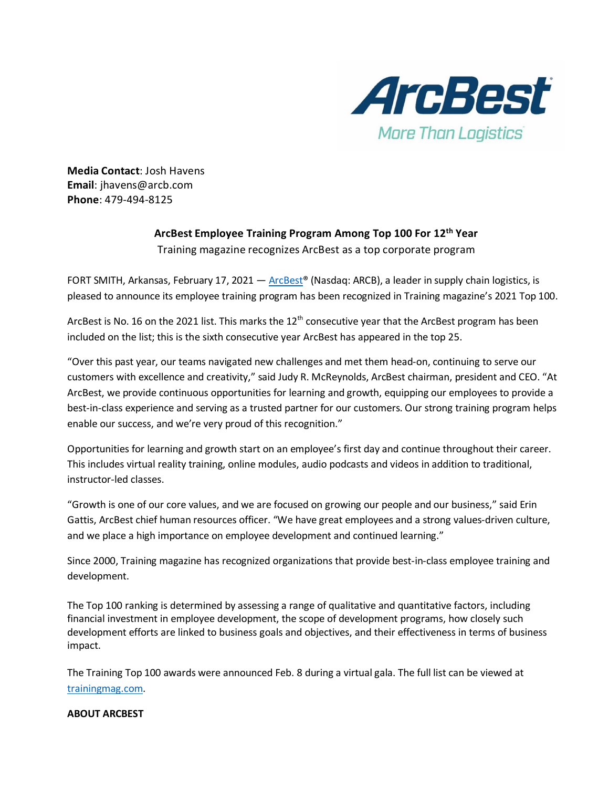

**Media Contact**: Josh Havens **Email**: jhavens@arcb.com **Phone**: 479-494-8125

## **ArcBest Employee Training Program Among Top 100 For 12th Year**

Training magazine recognizes ArcBest as a top corporate program

FORT SMITH, Arkansas, February 17, 2021 — ArcBest<sup>®</sup> (Nasdaq: ARCB), a leader in supply chain logistics, is pleased to announce its employee training program has been recognized in Training magazine's 2021 Top 100.

ArcBest is No. 16 on the 2021 list. This marks the  $12<sup>th</sup>$  consecutive year that the ArcBest program has been included on the list; this is the sixth consecutive year ArcBest has appeared in the top 25.

"Over this past year, our teams navigated new challenges and met them head-on, continuing to serve our customers with excellence and creativity," said Judy R. McReynolds, ArcBest chairman, president and CEO. "At ArcBest, we provide continuous opportunities for learning and growth, equipping our employees to provide a best-in-class experience and serving as a trusted partner for our customers. Our strong training program helps enable our success, and we're very proud of this recognition."

Opportunities for learning and growth start on an employee's first day and continue throughout their career. This includes virtual reality training, online modules, audio podcasts and videos in addition to traditional, instructor-led classes.

"Growth is one of our core values, and we are focused on growing our people and our business," said Erin Gattis, ArcBest chief human resources officer. "We have great employees and a strong values-driven culture, and we place a high importance on employee development and continued learning."

Since 2000, Training magazine has recognized organizations that provide best-in-class employee training and development.

The Top 100 ranking is determined by assessing a range of qualitative and quantitative factors, including financial investment in employee development, the scope of development programs, how closely such development efforts are linked to business goals and objectives, and their effectiveness in terms of business impact.

The Training Top 100 awards were announced Feb. 8 during a virtual gala. The full list can be viewed at [trainingmag.com.](https://trainingmag.com/training-magazine-ranks-2021-training-top-100-organizations/)

## **ABOUT ARCBEST**